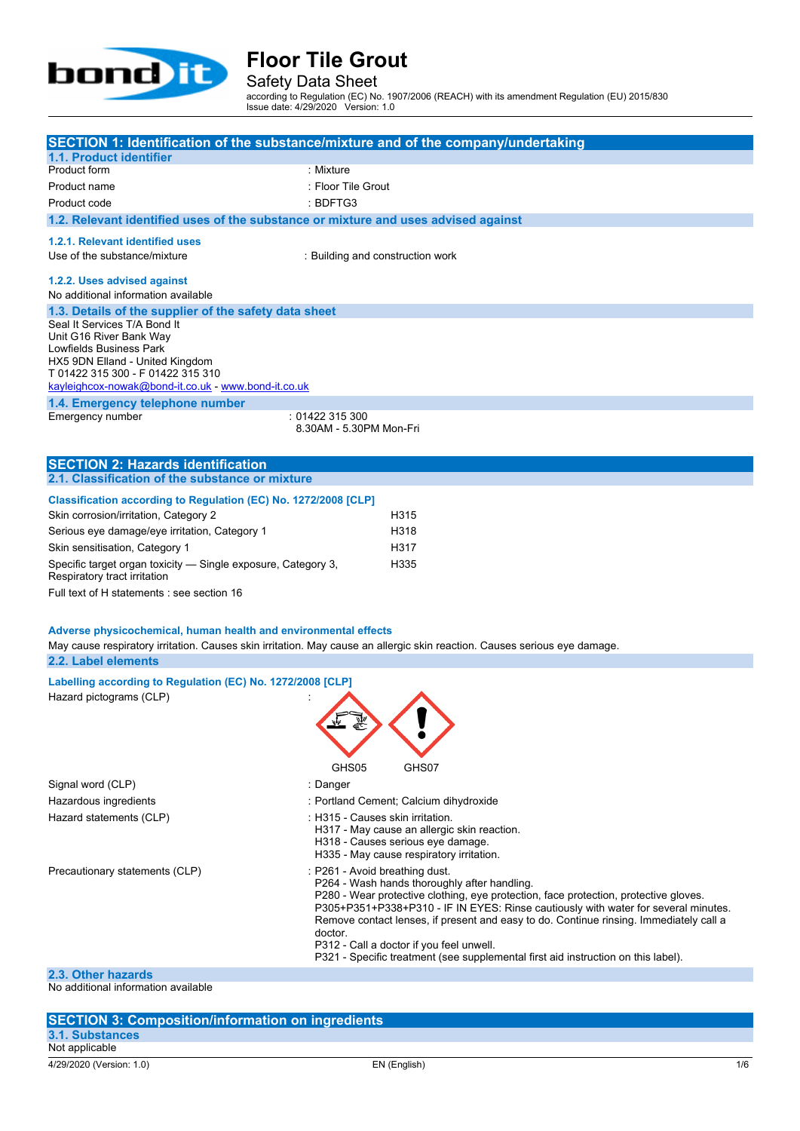

Safety Data Sheet

according to Regulation (EC) No. 1907/2006 (REACH) with its amendment Regulation (EU) 2015/830 Issue date: 4/29/2020 Version: 1.0

|                                                                                               | SECTION 1: Identification of the substance/mixture and of the company/undertaking                                                                                          |
|-----------------------------------------------------------------------------------------------|----------------------------------------------------------------------------------------------------------------------------------------------------------------------------|
| 1.1. Product identifier<br>Product form                                                       | : Mixture                                                                                                                                                                  |
|                                                                                               |                                                                                                                                                                            |
| Product name                                                                                  | : Floor Tile Grout                                                                                                                                                         |
| Product code                                                                                  | : BDFTG3                                                                                                                                                                   |
| 1.2. Relevant identified uses of the substance or mixture and uses advised against            |                                                                                                                                                                            |
| 1.2.1. Relevant identified uses                                                               |                                                                                                                                                                            |
| Use of the substance/mixture                                                                  | : Building and construction work                                                                                                                                           |
|                                                                                               |                                                                                                                                                                            |
| 1.2.2. Uses advised against                                                                   |                                                                                                                                                                            |
| No additional information available                                                           |                                                                                                                                                                            |
| 1.3. Details of the supplier of the safety data sheet<br>Seal It Services T/A Bond It         |                                                                                                                                                                            |
| Unit G16 River Bank Way                                                                       |                                                                                                                                                                            |
| Lowfields Business Park                                                                       |                                                                                                                                                                            |
| HX5 9DN Elland - United Kingdom                                                               |                                                                                                                                                                            |
| T 01422 315 300 - F 01422 315 310                                                             |                                                                                                                                                                            |
| kayleighcox-nowak@bond-it.co.uk - www.bond-it.co.uk                                           |                                                                                                                                                                            |
| 1.4. Emergency telephone number                                                               |                                                                                                                                                                            |
| Emergency number                                                                              | : 01422 315 300<br>8.30AM - 5.30PM Mon-Fri                                                                                                                                 |
|                                                                                               |                                                                                                                                                                            |
|                                                                                               |                                                                                                                                                                            |
| <b>SECTION 2: Hazards identification</b><br>2.1. Classification of the substance or mixture   |                                                                                                                                                                            |
|                                                                                               |                                                                                                                                                                            |
| Classification according to Regulation (EC) No. 1272/2008 [CLP]                               |                                                                                                                                                                            |
| Skin corrosion/irritation, Category 2                                                         | H315                                                                                                                                                                       |
| Serious eye damage/eye irritation, Category 1                                                 | H318                                                                                                                                                                       |
| Skin sensitisation, Category 1                                                                | H317                                                                                                                                                                       |
| Specific target organ toxicity - Single exposure, Category 3,<br>Respiratory tract irritation | H335                                                                                                                                                                       |
| Full text of H statements : see section 16                                                    |                                                                                                                                                                            |
|                                                                                               |                                                                                                                                                                            |
| Adverse physicochemical, human health and environmental effects                               |                                                                                                                                                                            |
|                                                                                               | May cause respiratory irritation. Causes skin irritation. May cause an allergic skin reaction. Causes serious eye damage.                                                  |
| 2.2. Label elements                                                                           |                                                                                                                                                                            |
| Labelling according to Regulation (EC) No. 1272/2008 [CLP]                                    |                                                                                                                                                                            |
| Hazard pictograms (CLP)                                                                       |                                                                                                                                                                            |
|                                                                                               |                                                                                                                                                                            |
|                                                                                               |                                                                                                                                                                            |
|                                                                                               |                                                                                                                                                                            |
|                                                                                               |                                                                                                                                                                            |
|                                                                                               | GHS05<br>GHS07                                                                                                                                                             |
| Signal word (CLP)                                                                             | : Danger                                                                                                                                                                   |
| Hazardous ingredients                                                                         | : Portland Cement; Calcium dihydroxide                                                                                                                                     |
| Hazard statements (CLP)                                                                       | : H315 - Causes skin irritation.                                                                                                                                           |
|                                                                                               | H317 - May cause an allergic skin reaction.                                                                                                                                |
|                                                                                               | H318 - Causes serious eye damage.                                                                                                                                          |
|                                                                                               | H335 - May cause respiratory irritation.                                                                                                                                   |
| Precautionary statements (CLP)                                                                | : P261 - Avoid breathing dust.                                                                                                                                             |
|                                                                                               | P264 - Wash hands thoroughly after handling.                                                                                                                               |
|                                                                                               | P280 - Wear protective clothing, eye protection, face protection, protective gloves.<br>P305+P351+P338+P310 - IF IN EYES: Rinse cautiously with water for several minutes. |
|                                                                                               | Remove contact lenses, if present and easy to do. Continue rinsing. Immediately call a                                                                                     |
|                                                                                               | doctor.                                                                                                                                                                    |
|                                                                                               | P312 - Call a doctor if you feel unwell.                                                                                                                                   |
|                                                                                               | P321 - Specific treatment (see supplemental first aid instruction on this label).                                                                                          |
| 2.3. Other hazards                                                                            |                                                                                                                                                                            |

No additional information available

#### **SECTION 3: Composition/information on ingredients 3.1. Substances** Not applicable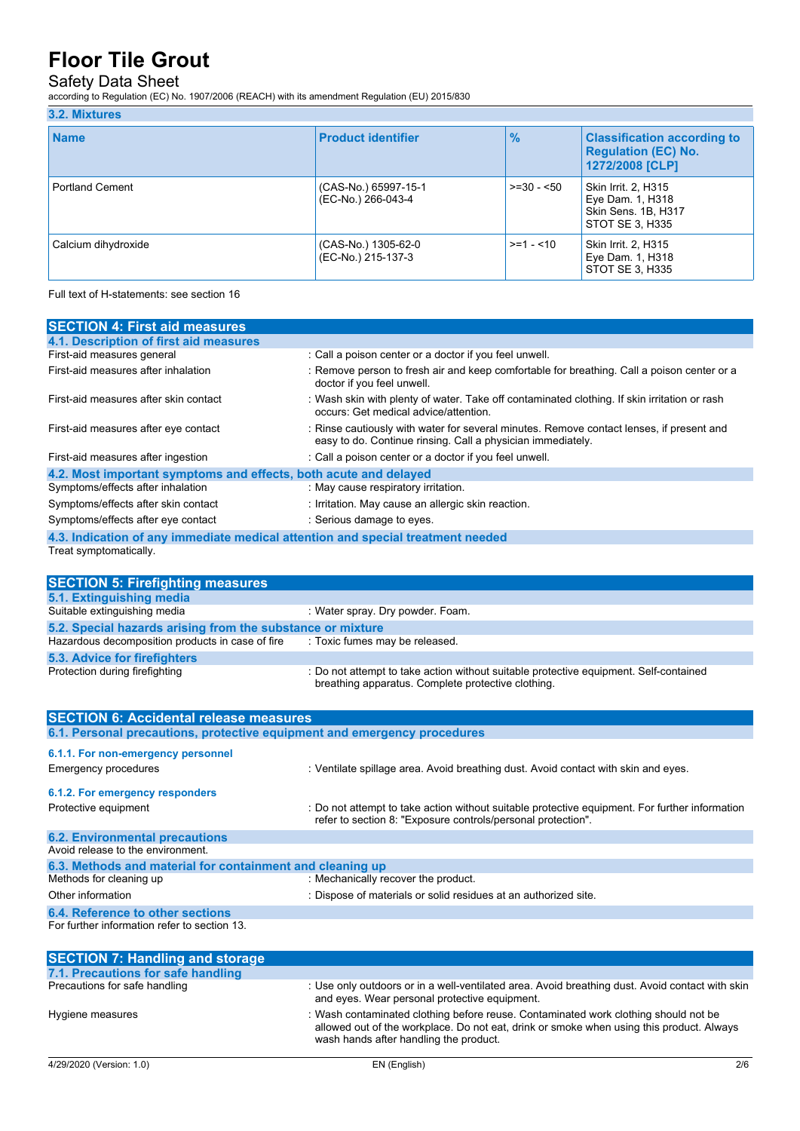## Safety Data Sheet

according to Regulation (EC) No. 1907/2006 (REACH) with its amendment Regulation (EU) 2015/830

#### **3.2. Mixtures Name Product identifier % Classification according to Regulation (EC) No. 1272/2008 [CLP]** Portland Cement (CAS-No.) 65997-15-1 (EC-No.) 266-043-4 >=30 - <50 Skin Irrit. 2, H315 Eye Dam. 1, H318 Skin Sens. 1B, H317 STOT SE 3, H335 Calcium dihydroxide (CAS-No.) 1305-62-0 (EC-No.) 215-137-3 >=1 - <10 Skin Irrit. 2, H315 Eye Dam. 1, H318 STOT SE 3, H335

Full text of H-statements: see section 16

| <b>SECTION 4: First aid measures</b>                                            |                                                                                                                                                         |  |  |  |
|---------------------------------------------------------------------------------|---------------------------------------------------------------------------------------------------------------------------------------------------------|--|--|--|
| 4.1. Description of first aid measures                                          |                                                                                                                                                         |  |  |  |
| First-aid measures general                                                      | : Call a poison center or a doctor if you feel unwell.                                                                                                  |  |  |  |
| First-aid measures after inhalation                                             | : Remove person to fresh air and keep comfortable for breathing. Call a poison center or a<br>doctor if you feel unwell.                                |  |  |  |
| First-aid measures after skin contact                                           | : Wash skin with plenty of water. Take off contaminated clothing. If skin irritation or rash<br>occurs: Get medical advice/attention.                   |  |  |  |
| First-aid measures after eye contact                                            | : Rinse cautiously with water for several minutes. Remove contact lenses, if present and<br>easy to do. Continue rinsing. Call a physician immediately. |  |  |  |
| First-aid measures after ingestion                                              | : Call a poison center or a doctor if you feel unwell.                                                                                                  |  |  |  |
| 4.2. Most important symptoms and effects, both acute and delayed                |                                                                                                                                                         |  |  |  |
| Symptoms/effects after inhalation                                               | : May cause respiratory irritation.                                                                                                                     |  |  |  |
| Symptoms/effects after skin contact                                             | : Irritation. May cause an allergic skin reaction.                                                                                                      |  |  |  |
| Symptoms/effects after eye contact                                              | : Serious damage to eyes.                                                                                                                               |  |  |  |
| 4.3. Indication of any immediate medical attention and special treatment needed |                                                                                                                                                         |  |  |  |
| Treat symptomatically.                                                          |                                                                                                                                                         |  |  |  |

| <b>SECTION 5: Firefighting measures</b>                    |                                                                                                                                             |  |  |  |
|------------------------------------------------------------|---------------------------------------------------------------------------------------------------------------------------------------------|--|--|--|
| 5.1. Extinguishing media                                   |                                                                                                                                             |  |  |  |
| Suitable extinguishing media                               | : Water spray. Dry powder. Foam.                                                                                                            |  |  |  |
| 5.2. Special hazards arising from the substance or mixture |                                                                                                                                             |  |  |  |
| Hazardous decomposition products in case of fire           | : Toxic fumes may be released.                                                                                                              |  |  |  |
| 5.3. Advice for firefighters                               |                                                                                                                                             |  |  |  |
| Protection during firefighting                             | : Do not attempt to take action without suitable protective equipment. Self-contained<br>breathing apparatus. Complete protective clothing. |  |  |  |

| <b>SECTION 6: Accidental release measures</b>                            |                                                                                                                                                              |  |  |  |
|--------------------------------------------------------------------------|--------------------------------------------------------------------------------------------------------------------------------------------------------------|--|--|--|
| 6.1. Personal precautions, protective equipment and emergency procedures |                                                                                                                                                              |  |  |  |
| 6.1.1. For non-emergency personnel                                       |                                                                                                                                                              |  |  |  |
| Emergency procedures                                                     | : Ventilate spillage area. Avoid breathing dust. Avoid contact with skin and eyes.                                                                           |  |  |  |
| 6.1.2. For emergency responders                                          |                                                                                                                                                              |  |  |  |
| Protective equipment                                                     | Do not attempt to take action without suitable protective equipment. For further information<br>refer to section 8. "Exposure controls/personal protection". |  |  |  |
| <b>6.2. Environmental precautions</b>                                    |                                                                                                                                                              |  |  |  |
| Avoid release to the environment.                                        |                                                                                                                                                              |  |  |  |
| 6.3. Methods and material for containment and cleaning up                |                                                                                                                                                              |  |  |  |
| Methods for cleaning up                                                  | : Mechanically recover the product.                                                                                                                          |  |  |  |
| Other information                                                        | : Dispose of materials or solid residues at an authorized site.                                                                                              |  |  |  |
| 6.4. Reference to other sections                                         |                                                                                                                                                              |  |  |  |
| For further information refer to section 13.                             |                                                                                                                                                              |  |  |  |

| <b>SECTION 7: Handling and storage</b> |                                                                                                                                                                                                                           |
|----------------------------------------|---------------------------------------------------------------------------------------------------------------------------------------------------------------------------------------------------------------------------|
| 7.1. Precautions for safe handling     |                                                                                                                                                                                                                           |
| Precautions for safe handling          | : Use only outdoors or in a well-ventilated area. Avoid breathing dust. Avoid contact with skin<br>and eyes. Wear personal protective equipment.                                                                          |
| Hygiene measures                       | : Wash contaminated clothing before reuse. Contaminated work clothing should not be<br>allowed out of the workplace. Do not eat, drink or smoke when using this product. Always<br>wash hands after handling the product. |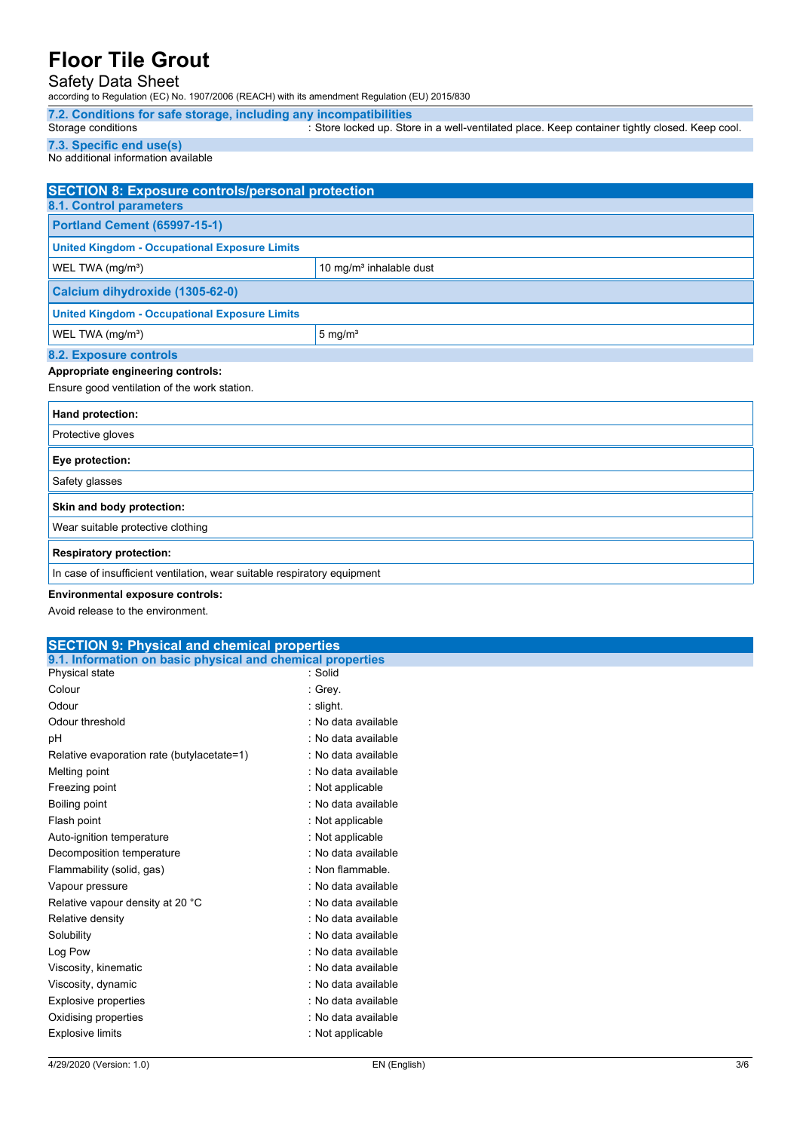### Safety Data Sheet

according to Regulation (EC) No. 1907/2006 (REACH) with its amendment Regulation (EU) 2015/830

**7.2. Conditions for safe storage, including any incompatibilities** : Store locked up. Store in a well-ventilated place. Keep container tightly closed. Keep cool.

**7.3. Specific end use(s)**

No additional information available

| <b>SECTION 8: Exposure controls/personal protection</b>                  |                    |  |  |
|--------------------------------------------------------------------------|--------------------|--|--|
| 8.1. Control parameters                                                  |                    |  |  |
| <b>Portland Cement (65997-15-1)</b>                                      |                    |  |  |
| <b>United Kingdom - Occupational Exposure Limits</b>                     |                    |  |  |
| WEL TWA (mg/m <sup>3</sup> )<br>10 mg/m <sup>3</sup> inhalable dust      |                    |  |  |
| Calcium dihydroxide (1305-62-0)                                          |                    |  |  |
| <b>United Kingdom - Occupational Exposure Limits</b>                     |                    |  |  |
| WEL TWA (mg/m <sup>3</sup> )                                             | $5 \text{ mg/m}^3$ |  |  |
| 8.2. Exposure controls                                                   |                    |  |  |
| Appropriate engineering controls:                                        |                    |  |  |
| Ensure good ventilation of the work station.                             |                    |  |  |
| Hand protection:                                                         |                    |  |  |
| Protective gloves                                                        |                    |  |  |
| Eye protection:                                                          |                    |  |  |
| Safety glasses                                                           |                    |  |  |
| Skin and body protection:                                                |                    |  |  |
| Wear suitable protective clothing                                        |                    |  |  |
| <b>Respiratory protection:</b>                                           |                    |  |  |
| In case of insufficient ventilation, wear suitable respiratory equipment |                    |  |  |

#### **Environmental exposure controls:**

Avoid release to the environment.

| <b>SECTION 9: Physical and chemical properties</b>         |                     |  |  |  |
|------------------------------------------------------------|---------------------|--|--|--|
| 9.1. Information on basic physical and chemical properties |                     |  |  |  |
| Physical state                                             | : Solid             |  |  |  |
| Colour                                                     | : Grey.             |  |  |  |
| Odour                                                      | : slight.           |  |  |  |
| Odour threshold                                            | : No data available |  |  |  |
| pH                                                         | : No data available |  |  |  |
| Relative evaporation rate (butylacetate=1)                 | : No data available |  |  |  |
| Melting point                                              | : No data available |  |  |  |
| Freezing point                                             | : Not applicable    |  |  |  |
| Boiling point                                              | : No data available |  |  |  |
| Flash point                                                | : Not applicable    |  |  |  |
| Auto-ignition temperature                                  | : Not applicable    |  |  |  |
| Decomposition temperature                                  | : No data available |  |  |  |
| Flammability (solid, gas)                                  | : Non flammable.    |  |  |  |
| Vapour pressure                                            | : No data available |  |  |  |
| Relative vapour density at 20 °C                           | : No data available |  |  |  |
| Relative density                                           | : No data available |  |  |  |
| Solubility                                                 | : No data available |  |  |  |
| Log Pow                                                    | : No data available |  |  |  |
| Viscosity, kinematic                                       | : No data available |  |  |  |
| Viscosity, dynamic                                         | : No data available |  |  |  |
| Explosive properties                                       | : No data available |  |  |  |
| Oxidising properties                                       | : No data available |  |  |  |
| <b>Explosive limits</b>                                    | : Not applicable    |  |  |  |
|                                                            |                     |  |  |  |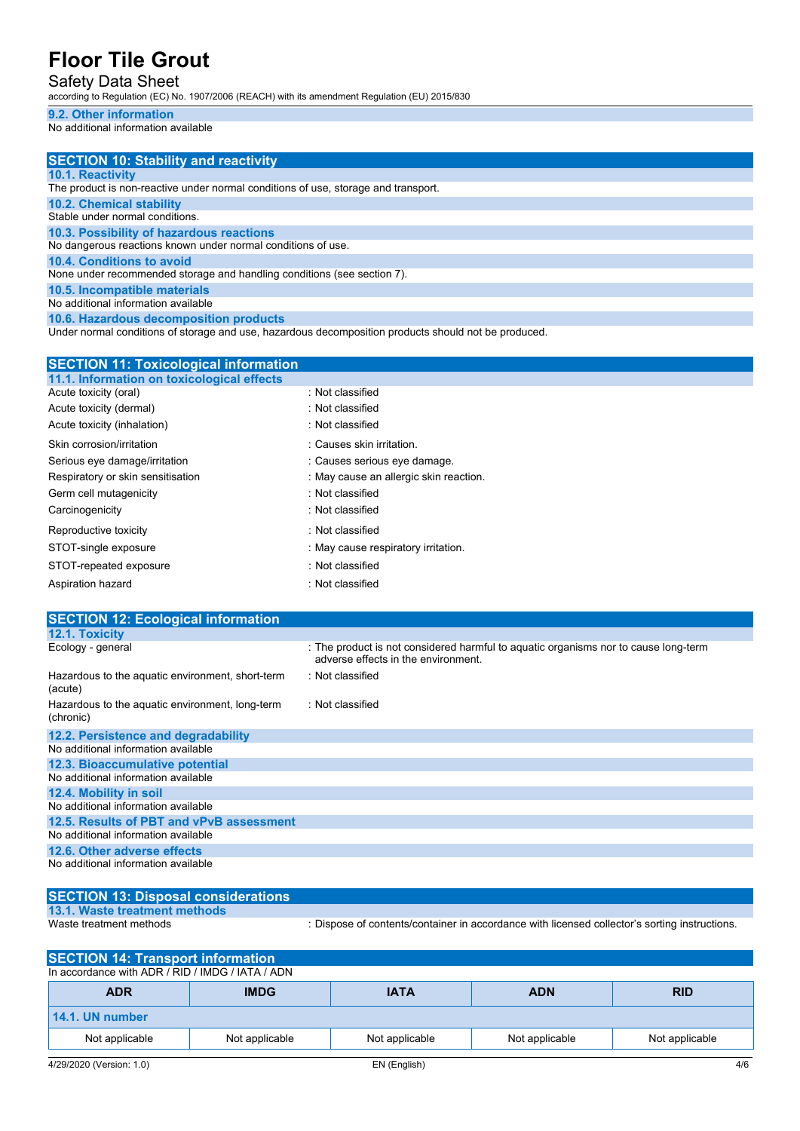### Safety Data Sheet

according to Regulation (EC) No. 1907/2006 (REACH) with its amendment Regulation (EU) 2015/830

### **9.2. Other information**

No additional information available

# **SECTION 10: Stability and reactivity**

#### **10.1. Reactivity**

The product is non-reactive under normal conditions of use, storage and transport. **10.2. Chemical stability** Stable under normal conditions. **10.3. Possibility of hazardous reactions** No dangerous reactions known under normal conditions of use. **10.4. Conditions to avoid** None under recommended storage and handling conditions (see section 7). **10.5. Incompatible materials**

No additional information available

**10.6. Hazardous decomposition products**

Under normal conditions of storage and use, hazardous decomposition products should not be produced.

| <b>SECTION 11: Toxicological information</b> |  |  |  |  |
|----------------------------------------------|--|--|--|--|
|                                              |  |  |  |  |
| : Not classified                             |  |  |  |  |
| : Not classified                             |  |  |  |  |
| : Not classified                             |  |  |  |  |
| : Causes skin irritation.                    |  |  |  |  |
| : Causes serious eye damage.                 |  |  |  |  |
| : May cause an allergic skin reaction.       |  |  |  |  |
| : Not classified                             |  |  |  |  |
| : Not classified                             |  |  |  |  |
| : Not classified                             |  |  |  |  |
| : May cause respiratory irritation.          |  |  |  |  |
| : Not classified                             |  |  |  |  |
| : Not classified                             |  |  |  |  |
|                                              |  |  |  |  |

| <b>SECTION 12: Ecological information</b>                    |                                                                                                                            |
|--------------------------------------------------------------|----------------------------------------------------------------------------------------------------------------------------|
| 12.1. Toxicity                                               |                                                                                                                            |
| Ecology - general                                            | : The product is not considered harmful to aguatic organisms nor to cause long-term<br>adverse effects in the environment. |
| Hazardous to the aquatic environment, short-term<br>(acute)  | : Not classified                                                                                                           |
| Hazardous to the aquatic environment, long-term<br>(chronic) | : Not classified                                                                                                           |
| 12.2. Persistence and degradability                          |                                                                                                                            |
| No additional information available                          |                                                                                                                            |
| 12.3. Bioaccumulative potential                              |                                                                                                                            |
| No additional information available                          |                                                                                                                            |
| 12.4. Mobility in soil                                       |                                                                                                                            |
| No additional information available                          |                                                                                                                            |
| 12.5. Results of PBT and vPvB assessment                     |                                                                                                                            |
| No additional information available                          |                                                                                                                            |
| 12.6. Other adverse effects                                  |                                                                                                                            |
| No additional information available                          |                                                                                                                            |

| SECTION 13: Disposal considerations |                                                                                               |
|-------------------------------------|-----------------------------------------------------------------------------------------------|
| 13.1. Waste treatment methods       |                                                                                               |
| Waste treatment methods             | : Dispose of contents/container in accordance with licensed collector's sorting instructions. |

| <b>SECTION 14: Transport information</b>         |                |                |                |                |  |
|--------------------------------------------------|----------------|----------------|----------------|----------------|--|
| In accordance with ADR / RID / IMDG / IATA / ADN |                |                |                |                |  |
| <b>ADR</b>                                       | <b>IMDG</b>    | <b>IATA</b>    | <b>ADN</b>     | <b>RID</b>     |  |
| 14.1. UN number                                  |                |                |                |                |  |
| Not applicable                                   | Not applicable | Not applicable | Not applicable | Not applicable |  |
| 4/29/2020 (Version: 1.0)                         |                | EN (English)   |                | 4/6            |  |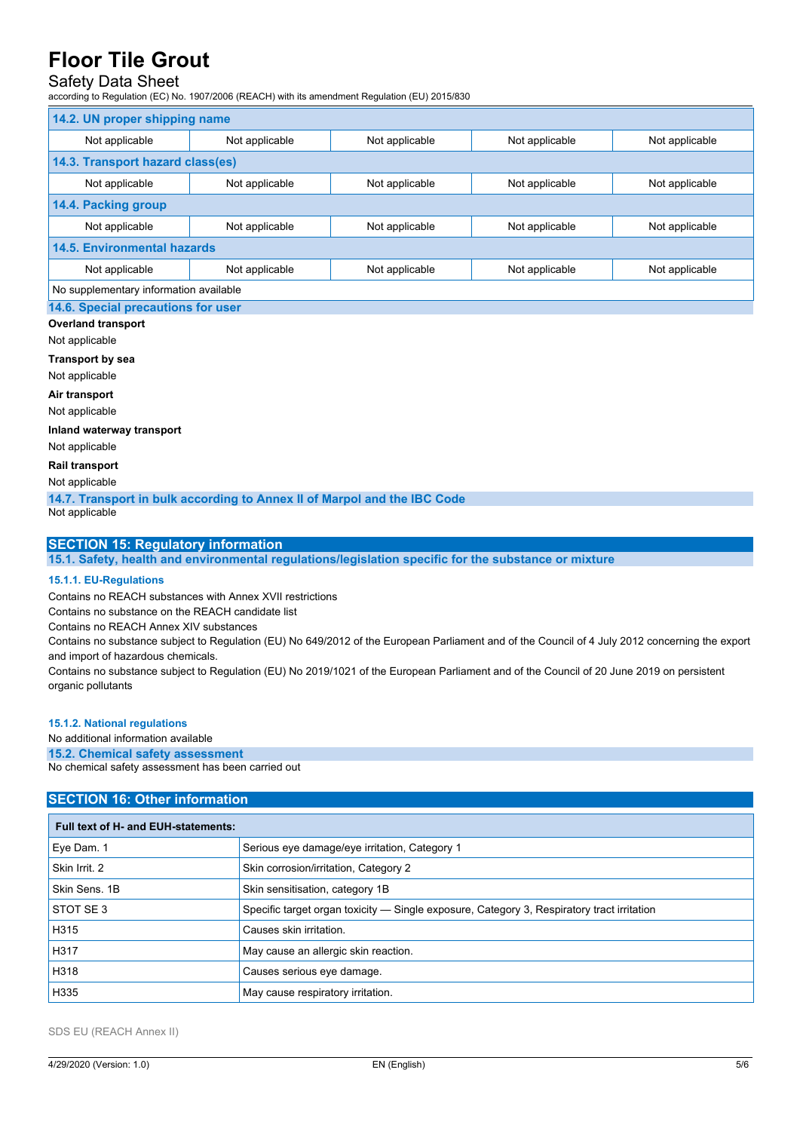# Safety Data Sheet

according to Regulation (EC) No. 1907/2006 (REACH) with its amendment Regulation (EU) 2015/830

| 14.2. UN proper shipping name          |                |                |                |                |  |
|----------------------------------------|----------------|----------------|----------------|----------------|--|
| Not applicable                         | Not applicable | Not applicable | Not applicable | Not applicable |  |
| 14.3. Transport hazard class(es)       |                |                |                |                |  |
| Not applicable                         | Not applicable | Not applicable | Not applicable | Not applicable |  |
| 14.4. Packing group                    |                |                |                |                |  |
| Not applicable                         | Not applicable | Not applicable | Not applicable | Not applicable |  |
| <b>14.5. Environmental hazards</b>     |                |                |                |                |  |
| Not applicable                         | Not applicable | Not applicable | Not applicable | Not applicable |  |
| No supplementary information available |                |                |                |                |  |
| 14.6. Special precautions for user     |                |                |                |                |  |

## **Overland transport**

Not applicable

**Transport by sea**

Not applicable

**Air transport**

Not applicable

**Inland waterway transport**

Not applicable

**Rail transport**

Not applicable

**14.7. Transport in bulk according to Annex II of Marpol and the IBC Code**

Not applicable

#### **SECTION 15: Regulatory information**

**15.1. Safety, health and environmental regulations/legislation specific for the substance or mixture**

#### **15.1.1. EU-Regulations**

Contains no REACH substances with Annex XVII restrictions

Contains no substance on the REACH candidate list

Contains no REACH Annex XIV substances

Contains no substance subject to Regulation (EU) No 649/2012 of the European Parliament and of the Council of 4 July 2012 concerning the export and import of hazardous chemicals.

Contains no substance subject to Regulation (EU) No 2019/1021 of the European Parliament and of the Council of 20 June 2019 on persistent organic pollutants

#### **15.1.2. National regulations**

#### No additional information available

#### **15.2. Chemical safety assessment**

No chemical safety assessment has been carried out

### **SECTION 16: Other information**

| Full text of H- and EUH-statements: |                                                                                            |
|-------------------------------------|--------------------------------------------------------------------------------------------|
| Eye Dam. 1                          | Serious eye damage/eye irritation, Category 1                                              |
| Skin Irrit. 2                       | Skin corrosion/irritation, Category 2                                                      |
| Skin Sens, 1B                       | Skin sensitisation, category 1B                                                            |
| STOT SE3                            | Specific target organ toxicity — Single exposure, Category 3, Respiratory tract irritation |
| H315                                | Causes skin irritation.                                                                    |
| H317                                | May cause an allergic skin reaction.                                                       |
| H318                                | Causes serious eye damage.                                                                 |
| H335                                | May cause respiratory irritation.                                                          |

SDS EU (REACH Annex II)